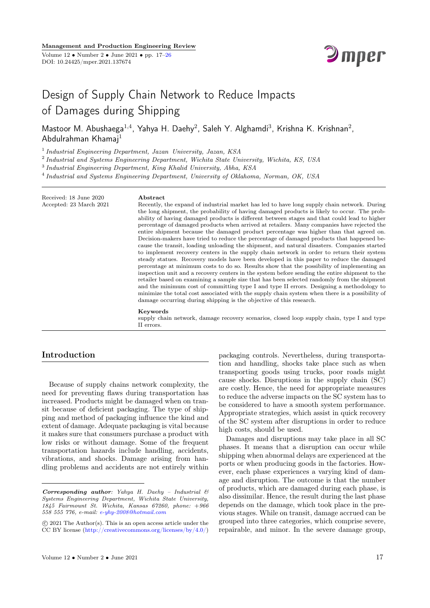

# Design of Supply Chain Network to Reduce Impacts of Damages during Shipping

Mastoor M. Abushaega $^{1,4}$ , Yahya H. Daehy $^2$ , Saleh Y. Alghamdi $^3$ , Krishna K. Krishnan $^2$ , Abdulrahman Khamaj<sup>1</sup>

<sup>1</sup> Industrial Engineering Department, Jazan University, Jazan, KSA

<sup>2</sup> Industrial and Systems Engineering Department, Wichita State University, Wichita, KS, USA

<sup>3</sup> Industrial Engineering Department, King Khalid University, Abha, KSA

Abstract

4 Industrial and Systems Engineering Department, University of Oklahoma, Norman, OK, USA

Recently, the expand of industrial market has led to have long supply chain network. During the long shipment, the probability of having damaged products is likely to occur. The probability of having damaged products is different between stages and that could lead to higher percentage of damaged products when arrived at retailers. Many companies have rejected the entire shipment because the damaged product percentage was higher than that agreed on. Decision-makers have tried to reduce the percentage of damaged products that happened because the transit, loading unloading the shipment, and natural disasters. Companies started to implement recovery centers in the supply chain network in order to return their system steady statues. Recovery models have been developed in this paper to reduce the damaged percentage at minimum costs to do so. Results show that the possibility of implementing an inspection unit and a recovery centers in the system before sending the entire shipment to the retailer based on examining a sample size that has been selected randomly from the shipment and the minimum cost of committing type I and type II errors. Designing a methodology to minimize the total cost associated with the supply chain system when there is a possibility of damage occurring during shipping is the objective of this research.

#### Keywords

supply chain network, damage recovery scenarios, closed loop supply chain, type I and type II errors.

# Introduction

Received: 18 June 2020 Accepted: 23 March 2021

Because of supply chains network complexity, the need for preventing flaws during transportation has increased. Products might be damaged when on transit because of deficient packaging. The type of shipping and method of packaging influence the kind and extent of damage. Adequate packaging is vital because it makes sure that consumers purchase a product with low risks or without damage. Some of the frequent transportation hazards include handling, accidents, vibrations, and shocks. Damage arising from handling problems and accidents are not entirely within

tion and handling, shocks take place such as when transporting goods using trucks, poor roads might cause shocks. Disruptions in the supply chain (SC) are costly. Hence, the need for appropriate measures to reduce the adverse impacts on the SC system has to be considered to have a smooth system performance. Appropriate strategies, which assist in quick recovery of the SC system after disruptions in order to reduce high costs, should be used. Damages and disruptions may take place in all SC

packaging controls. Nevertheless, during transporta-

phases. It means that a disruption can occur while shipping when abnormal delays are experienced at the ports or when producing goods in the factories. However, each phase experiences a varying kind of damage and disruption. The outcome is that the number of products, which are damaged during each phase, is also dissimilar. Hence, the result during the last phase depends on the damage, which took place in the previous stages. While on transit, damage accrued can be grouped into three categories, which comprise severe, repairable, and minor. In the severe damage group,

Corresponding author: Yahya H. Daehy - Industrial  $\mathcal{C}$ Systems Engineering Department, Wichita State University, 1845 Fairmount St. Wichita, Kansas 67260, phone: +966 558 555 776, e-mail: [e-yhy-2008@hotmail.com](mailto:e-yhy-2008@hotmail.com)

c 2021 The Author(s). This is an open access article under the CC BY license [\(http://creativecommons.org/licenses/by/4.0/\)](http://creativecommons.org/licenses/by/4.0/)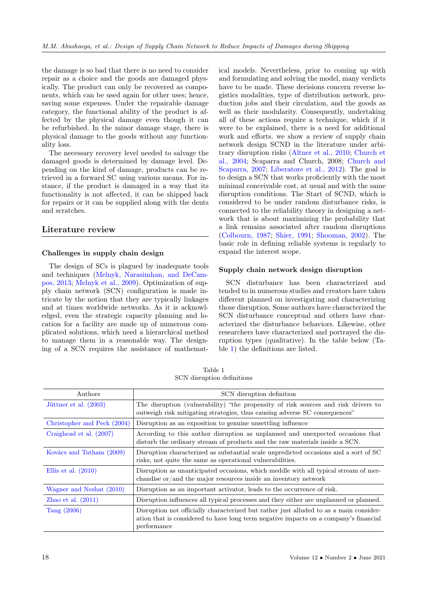the damage is so bad that there is no need to consider repair as a choice and the goods are damaged physically. The product can only be recovered as components, which can be used again for other uses; hence, saving some expenses. Under the repairable damage category, the functional ability of the product is affected by the physical damage even though it can be refurbished. In the minor damage stage, there is physical damage to the goods without any functionality loss.

The necessary recovery level needed to salvage the damaged goods is determined by damage level. Depending on the kind of damage, products can be retrieved in a forward SC using various means. For instance, if the product is damaged in a way that its functionality is not affected, it can be shipped back for repairs or it can be supplied along with the dents and scratches.

# Literature review

## Challenges in supply chain design

The design of SCs is plagued by inadequate tools and techniques [\(Melnyk, Narasimhan, and DeCam](#page-8-0)[pos, 2013;](#page-8-0) [Melnyk et al., 2009\)](#page-8-0). Optimization of supply chain network (SCN) configuration is made intricate by the notion that they are typically linkages and at times worldwide networks. As it is acknowledged, even the strategic capacity planning and location for a facility are made up of numerous complicated solutions, which need a hierarchical method to manage them in a reasonable way. The designing of a SCN requires the assistance of mathematical models. Nevertheless, prior to coming up with and formulating and solving the model, many verdicts have to be made. These decisions concern reverse logistics modalities, type of distribution network, production jobs and their circulation, and the goods as well as their modularity. Consequently, undertaking all of these actions require a technique, which if it were to be explained, there is a need for additional work and efforts. we show a review of supply chain network design SCND in the literature under arbitrary disruption risks [\(Altner et al., 2010;](#page-8-0) [Church et](#page-8-0) [al., 2004;](#page-8-0) Scaparra and Church, 2008; [Church and](#page-8-0) [Scaparra, 2007;](#page-8-0) [Liberatore et al., 2012\)](#page-8-0). The goal is to design a SCN that works proficiently with the most minimal conceivable cost, at usual and with the same disruption conditions. The Start of SCND, which is considered to be under random disturbance risks, is connected to the reliability theory in designing a network that is about maximizing the probability that a link remains associated after random disruptions [\(Colbourn, 1987;](#page-8-0) [Shier, 1991;](#page-8-0) [Shooman, 2002\)](#page-8-0). The basic role in defining reliable systems is regularly to expand the interest scope.

## Supply chain network design disruption

SCN disturbance has been characterized and tended to in numerous studies and creators have taken different planned on investigating and characterizing those disruption. Some authors have characterized the SCN disturbance conceptual and others have characterized the disturbance behaviors. Likewise, other researchers have characterized and portrayed the disruption types (qualitative). In the table below (Table [1\)](#page-1-0) the definitions are listed.

<span id="page-1-0"></span>

| Authors                     | SCN disruption definition                                                                                                                                                                     |  |  |  |
|-----------------------------|-----------------------------------------------------------------------------------------------------------------------------------------------------------------------------------------------|--|--|--|
| Jüttner et al. (2003)       | The disruption (vulnerability) "the propensity of risk sources and risk drivers to<br>outweigh risk mitigating strategies, thus causing adverse SC consequences"                              |  |  |  |
| Christopher and Peck (2004) | Disruption as an exposition to genuine unsettling influence                                                                                                                                   |  |  |  |
| Craighead et al. (2007)     | According to this author disruption as unplanned and unexpected occasions that<br>disturb the ordinary stream of products and the raw materials inside a SCN.                                 |  |  |  |
| Kovács and Tatham (2009)    | Disruption characterized as substantial scale unpredicted occasions and a sort of SC<br>risks, not quite the same as operational vulnerabilities.                                             |  |  |  |
| Ellis et al. $(2010)$       | Disruption as unanticipated occasions, which meddle with all typical stream of mer-<br>chandise or/and the major resources inside an inventory network                                        |  |  |  |
| Wagner and Neshat (2010)    | Disruption as an important activator, leads to the occurrence of risk.                                                                                                                        |  |  |  |
| Zhao et al. $(2011)$        | Disruption influences all typical processes and they either are unplanned or planned.                                                                                                         |  |  |  |
| Tang $(2006)$               | Disruption not officially characterized but rather just alluded to as a main consider-<br>ation that is considered to have long term negative impacts on a company's financial<br>performance |  |  |  |

Table 1 SCN disruption definitions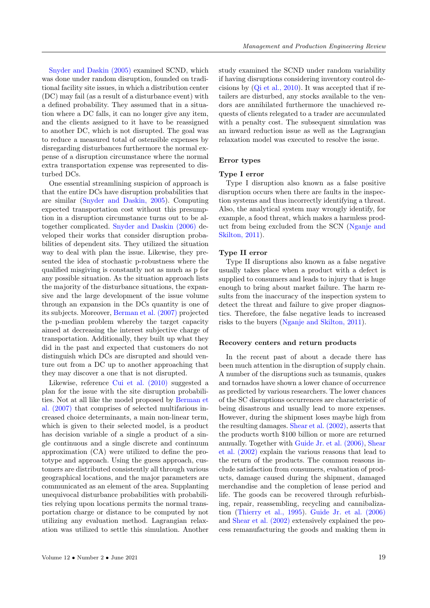[Snyder and Daskin \(2005\)](#page-8-0) examined SCND, which was done under random disruption, founded on traditional facility site issues, in which a distribution center (DC) may fail (as a result of a disturbance event) with a defined probability. They assumed that in a situation where a DC falls, it can no longer give any item, and the clients assigned to it have to be reassigned to another DC, which is not disrupted. The goal was to reduce a measured total of ostensible expenses by disregarding disturbances furthermore the normal expense of a disruption circumstance where the normal extra transportation expense was represented to disturbed DCs.

One essential streamlining suspicion of approach is that the entire DCs have disruption probabilities that are similar [\(Snyder and Daskin, 2005\)](#page-8-0). Computing expected transportation cost without this presumption in a disruption circumstance turns out to be altogether complicated. [Snyder and Daskin \(2006\)](#page-8-0) developed their works that consider disruption probabilities of dependent sits. They utilized the situation way to deal with plan the issue. Likewise, they presented the idea of stochastic p-robustness where the qualified misgiving is constantly not as much as p for any possible situation. As the situation approach lists the majority of the disturbance situations, the expansive and the large development of the issue volume through an expansion in the DCs quantity is one of its subjects. Moreover, [Berman et al. \(2007\)](#page-8-0) projected the p-median problem whereby the target capacity aimed at decreasing the interest subjective charge of transportation. Additionally, they built up what they did in the past and expected that customers do not distinguish which DCs are disrupted and should venture out from a DC up to another approaching that they may discover a one that is not disrupted.

Likewise, reference [Cui et al. \(2010\)](#page-8-0) suggested a plan for the issue with the site disruption probabilities. Not at all like the model proposed by [Berman et](#page-8-0) [al. \(2007\)](#page-8-0) that comprises of selected multifarious increased choice determinants, a main non-linear term, which is given to their selected model, is a product has decision variable of a single a product of a single continuous and a single discrete and continuum approximation (CA) were utilized to define the prototype and approach. Using the guess approach, customers are distributed consistently all through various geographical locations, and the major parameters are communicated as an element of the area. Supplanting unequivocal disturbance probabilities with probabilities relying upon locations permits the normal transportation charge or distance to be computed by not utilizing any evaluation method. Lagrangian relaxation was utilized to settle this simulation. Another

study examined the SCND under random variability if having disruptions considering inventory control decisions by [\(Qi et al., 2010\)](#page-8-0). It was accepted that if retailers are disturbed, any stocks available to the vendors are annihilated furthermore the unachieved requests of clients relegated to a trader are accumulated with a penalty cost. The subsequent simulation was an inward reduction issue as well as the Lagrangian relaxation model was executed to resolve the issue.

#### Error types

#### Type I error

Type I disruption also known as a false positive disruption occurs when there are faults in the inspection systems and thus incorrectly identifying a threat. Also, the analytical system may wrongly identify, for example, a food threat, which makes a harmless product from being excluded from the SCN [\(Nganje and](#page-8-0) [Skilton, 2011\)](#page-8-0).

#### Type II error

Type II disruptions also known as a false negative usually takes place when a product with a defect is supplied to consumers and leads to injury that is huge enough to bring about market failure. The harm results from the inaccuracy of the inspection system to detect the threat and failure to give proper diagnostics. Therefore, the false negative leads to increased risks to the buyers [\(Nganje and Skilton, 2011\)](#page-8-0).

## Recovery centers and return products

In the recent past of about a decade there has been much attention in the disruption of supply chain. A number of the disruptions such as tsunamis, quakes and tornados have shown a lower chance of occurrence as predicted by various researchers. The lower chances of the SC disruptions occurrences are characteristic of being disastrous and usually lead to more expenses. However, during the shipment loses maybe high from the resulting damages. [Shear et al. \(2002\),](#page-8-0) asserts that the products worth \$100 billion or more are returned annually. Together with [Guide Jr. et al. \(2006\),](#page-8-0) [Shear](#page-8-0) [et al. \(2002\)](#page-8-0) explain the various reasons that lead to the return of the products. The common reasons include satisfaction from consumers, evaluation of products, damage caused during the shipment, damaged merchandise and the completion of lease period and life. The goods can be recovered through refurbishing, repair, reassembling, recycling and cannibalization [\(Thierry et al., 1995\)](#page-8-0). [Guide Jr. et al. \(2006\)](#page-8-0) and [Shear et al. \(2002\)](#page-8-0) extensively explained the process remanufacturing the goods and making them in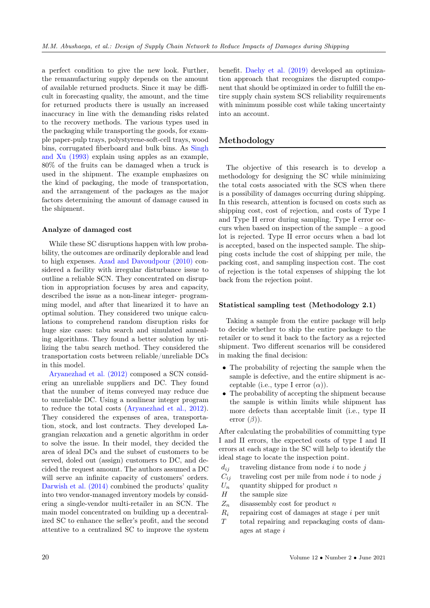a perfect condition to give the new look. Further, the remanufacturing supply depends on the amount of available returned products. Since it may be difficult in forecasting quality, the amount, and the time for returned products there is usually an increased inaccuracy in line with the demanding risks related to the recovery methods. The various types used in the packaging while transporting the goods, for example paper-pulp trays, polystyrene-soft-cell trays, wood bins, corrugated fiberboard and bulk bins. As [Singh](#page-8-0) [and Xu \(1993\)](#page-8-0) explain using apples as an example, 80% of the fruits can be damaged when a truck is used in the shipment. The example emphasizes on the kind of packaging, the mode of transportation, and the arrangement of the packages as the major factors determining the amount of damage caused in the shipment.

#### Analyze of damaged cost

While these SC disruptions happen with low probability, the outcomes are ordinarily deplorable and lead to high expenses. [Azad and Davoudpour \(2010\)](#page-8-0) considered a facility with irregular disturbance issue to outline a reliable SCN. They concentrated on disruption in appropriation focuses by area and capacity, described the issue as a non-linear integer- programming model, and after that linearized it to have an optimal solution. They considered two unique calculations to comprehend random disruption risks for huge size cases: tabu search and simulated annealing algorithms. They found a better solution by utilizing the tabu search method. They considered the transportation costs between reliable/unreliable DCs in this model.

[Aryanezhad et al. \(2012\)](#page-8-0) composed a SCN considering an unreliable suppliers and DC. They found that the number of items conveyed may reduce due to unreliable DC. Using a nonlinear integer program to reduce the total costs [\(Aryanezhad et al., 2012\)](#page-8-0). They considered the expenses of area, transportation, stock, and lost contracts. They developed Lagrangian relaxation and a genetic algorithm in order to solve the issue. In their model, they decided the area of ideal DCs and the subset of customers to be served, doled out (assign) customers to DC, and decided the request amount. The authors assumed a DC will serve an infinite capacity of customers' orders. [Darwish et al. \(2014\)](#page-8-0) combined the products' quality into two vendor-managed inventory models by considering a single-vendor multi-retailer in an SCN. The main model concentrated on building up a decentralized SC to enhance the seller's profit, and the second attentive to a centralized SC to improve the system

benefit. [Daehy et al. \(2019\)](#page-8-0) developed an optimization approach that recognizes the disrupted component that should be optimized in order to fulfill the entire supply chain system SCS reliability requirements with minimum possible cost while taking uncertainty into an account.

## Methodology

The objective of this research is to develop a methodology for designing the SC while minimizing the total costs associated with the SCS when there is a possibility of damages occurring during shipping. In this research, attention is focused on costs such as shipping cost, cost of rejection, and costs of Type I and Type II error during sampling. Type I error occurs when based on inspection of the sample – a good lot is rejected. Type II error occurs when a bad lot is accepted, based on the inspected sample. The shipping costs include the cost of shipping per mile, the packing cost, and sampling inspection cost. The cost of rejection is the total expenses of shipping the lot back from the rejection point.

## Statistical sampling test (Methodology 2.1)

Taking a sample from the entire package will help to decide whether to ship the entire package to the retailer or to send it back to the factory as a rejected shipment. Two different scenarios will be considered in making the final decision:

- The probability of rejecting the sample when the sample is defective, and the entire shipment is acceptable (i.e., type I error  $(\alpha)$ ).
- The probability of accepting the shipment because the sample is within limits while shipment has more defects than acceptable limit (i.e., type II error  $(\beta)$ ).

After calculating the probabilities of committing type I and II errors, the expected costs of type I and II errors at each stage in the SC will help to identify the ideal stage to locate the inspection point.

- $d_{ij}$  traveling distance from node i to node j
- $C_{ij}$  traveling cost per mile from node i to node j
- $U_n$  quantity shipped for product n
- $H$  the sample size
- $Z_n$  disassembly cost for product n
- $R_i$  repairing cost of damages at stage i per unit
- T total repairing and repackaging costs of damages at stage i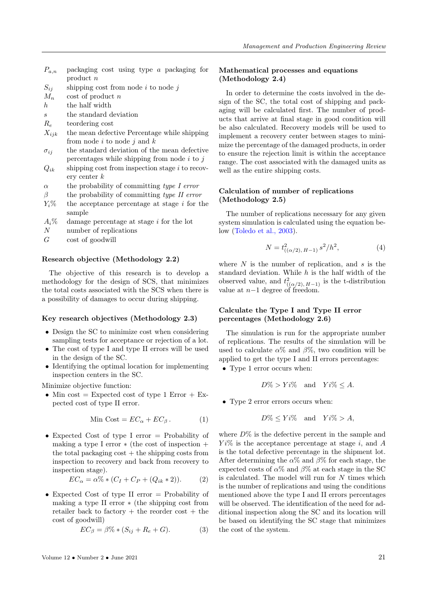- $P_{a,n}$  packaging cost using type a packaging for product n
- $S_{ij}$  shipping cost from node i to node j
- $M_n$  cost of product n
- $h$  the half width
- $s$  the standard deviation
- R<sup>e</sup> teordering cost
- $X_{ijk}$  the mean defective Percentage while shipping from node  $i$  to node  $j$  and  $k$
- $\sigma_{ij}$  the standard deviation of the mean defective percentages while shipping from node  $i$  to  $j$
- $Q_{ik}$  shipping cost from inspection stage i to recovery center k
- $\alpha$  the probability of committing type I error
- $\beta$  the probability of committing type II error
- $Y_i\%$  the acceptance percentage at stage i for the sample
- $A_i$ <sup>%</sup> damage percentage at stage i for the lot
- N number of replications
- $G \qquad \text{cost of good}$

#### Research objective (Methodology 2.2)

The objective of this research is to develop a methodology for the design of SCS, that minimizes the total costs associated with the SCS when there is a possibility of damages to occur during shipping.

#### Key research objectives (Methodology 2.3)

- Design the SC to minimize cost when considering sampling tests for acceptance or rejection of a lot.
- The cost of type I and type II errors will be used in the design of the SC.
- Identifying the optimal location for implementing inspection centers in the SC.

Minimize objective function:

• Min cost = Expected cost of type 1 Error + Expected cost of type II error.

$$
\text{Min Cost} = EC_{\alpha} + EC_{\beta}. \tag{1}
$$

• Expected Cost of type I error  $=$  Probability of making a type I error  $*$  (the cost of inspection  $+$ the total packaging  $cost + the shipping costs from$ inspection to recovery and back from recovery to inspection stage).

$$
EC_{\alpha} = \alpha\% * (C_I + C_P + (Q_{ik} * 2)).
$$
 (2)

• Expected Cost of type II error  $=$  Probability of making a type II error ∗ (the shipping cost from retailer back to factory  $+$  the reorder cost  $+$  the cost of goodwill)

$$
EC_{\beta} = \beta\% * (S_{ij} + R_e + G). \tag{3}
$$

## Mathematical processes and equations (Methodology 2.4)

In order to determine the costs involved in the design of the SC, the total cost of shipping and packaging will be calculated first. The number of products that arrive at final stage in good condition will be also calculated. Recovery models will be used to implement a recovery center between stages to minimize the percentage of the damaged products, in order to ensure the rejection limit is within the acceptance range. The cost associated with the damaged units as well as the entire shipping costs.

## Calculation of number of replications (Methodology 2.5)

The number of replications necessary for any given system simulation is calculated using the equation below [\(Toledo et al., 2003\)](#page-8-0).

$$
N = t^2_{((\alpha/2), H-1)} s^2 / h^2,
$$
\n(4)

where  $N$  is the number of replication, and  $s$  is the standard deviation. While  $h$  is the half width of the observed value, and  $t^2_{((\alpha/2), H-1)}$  is the t-distribution value at  $n-1$  degree of freedom.

## Calculate the Type I and Type II error percentages (Methodology 2.6)

The simulation is run for the appropriate number of replications. The results of the simulation will be used to calculate  $\alpha\%$  and  $\beta\%$ , two condition will be applied to get the type I and II errors percentages:

• Type 1 error occurs when:

$$
D\% > Yi\%
$$
 and  $Yi\% \leq A$ .

• Type 2 error errors occurs when:

$$
D\% \leq Y i\% \quad \text{and} \quad Y i\% > A,
$$

where  $D\%$  is the defective percent in the sample and  $Y_i\%$  is the acceptance percentage at stage i, and A is the total defective percentage in the shipment lot. After determining the  $\alpha$ % and  $\beta$ % for each stage, the expected costs of  $\alpha$ % and  $\beta$ % at each stage in the SC is calculated. The model will run for  $N$  times which is the number of replications and using the conditions mentioned above the type I and II errors percentages will be observed. The identification of the need for additional inspection along the SC and its location will be based on identifying the SC stage that minimizes the cost of the system.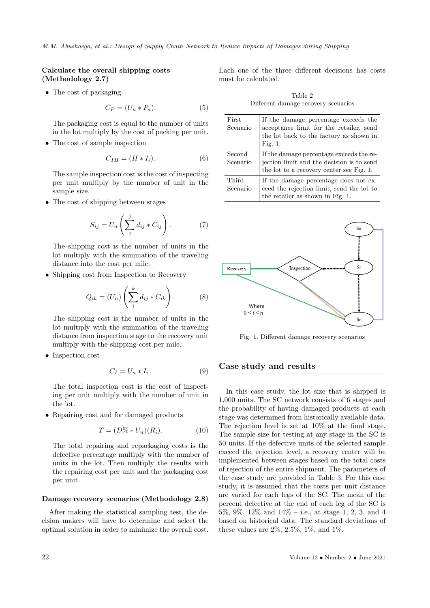## Calculate the overall shipping costs (Methodology 2.7)

• The cost of packaging

<span id="page-5-1"></span>
$$
C_P = (U_n * P_a). \tag{5}
$$

The packaging cost is equal to the number of units in the lot multiply by the cost of packing per unit.

• The cost of sample inspection

$$
C_{IH} = (H * I_i). \tag{6}
$$

The sample inspection cost is the cost of inspecting per unit multiply by the number of unit in the sample size.

• The cost of shipping between stages

$$
S_{ij} = U_n \left( \sum_{i=1}^{j} d_{ij} * C_{ij} \right). \tag{7}
$$

The shipping cost is the number of units in the lot multiply with the summation of the traveling distance into the cost per mile.

• Shipping cost from Inspection to Recovery

$$
Q_{ik} = (U_n) \left( \sum_{i=1}^{k} d_{ij} * C_{ik} \right). \tag{8}
$$

The shipping cost is the number of units in the lot multiply with the summation of the traveling distance from inspection stage to the recovery unit multiply with the shipping cost per mile.

• Inspection cost

$$
C_I = U_n * I_i. \tag{9}
$$

The total inspection cost is the cost of inspecting per unit multiply with the number of unit in the lot.

• Repairing cost and for damaged products

$$
T = (D\% * U_n)(R_i). \tag{10}
$$

The total repairing and repackaging costs is the defective percentage multiply with the number of units in the lot. Then multiply the results with the repairing cost per unit and the packaging cost per unit.

#### Damage recovery scenarios (Methodology 2.8)

After making the statistical sampling test, the decision makers will have to determine and select the optimal solution in order to minimize the overall cost. Each one of the three different decisions has costs must be calculated.

Table 2 Different damage recovery scenarios

| First<br>Scenario  | If the damage percentage exceeds the<br>acceptance limit for the retailer, send<br>the lot back to the factory as shown in<br>Fig. $1$ . |
|--------------------|------------------------------------------------------------------------------------------------------------------------------------------|
| Second<br>Scenario | If the damage percentage exceeds the re-<br>jection limit and the decision is to send<br>the lot to a recovery center see Fig. 1.        |
| Third<br>Scenario  | If the damage percentage does not ex-<br>ceed the rejection limit, send the lot to<br>the retailer as shown in Fig. 1.                   |

<span id="page-5-0"></span>

Fig. 1. Different damage recovery scenarios

# Case study and results

In this case study, the lot size that is shipped is 1,000 units. The SC network consists of 6 stages and the probability of having damaged products at each stage was determined from historically available data. The rejection level is set at 10% at the final stage. The sample size for testing at any stage in the SC is 50 units. If the defective units of the selected sample exceed the rejection level, a recovery center will be implemented between stages based on the total costs of rejection of the entire shipment. The parameters of the case study are provided in Table [3.](#page-6-0) For this case study, it is assumed that the costs per unit distance are varied for each legs of the SC. The mean of the percent defective at the end of each leg of the SC is 5%, 9%, 12% and 14% – i.e., at stage 1, 2, 3, and 4 based on historical data. The standard deviations of these values are  $2\%, 2.5\%, 1\%, \text{ and } 1\%$ .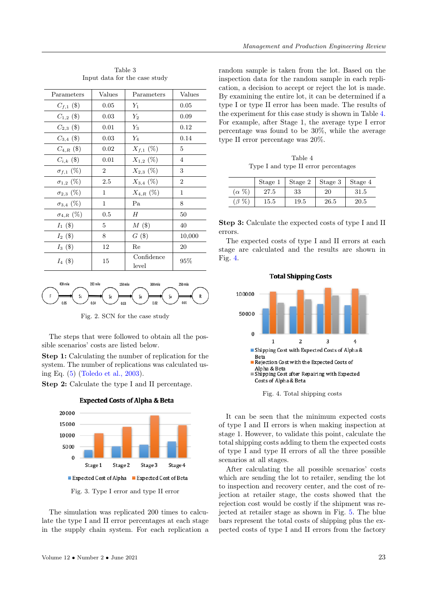<span id="page-6-0"></span>

| Parameters          | Values         | Parameters          | Values         |
|---------------------|----------------|---------------------|----------------|
| $C_{f,1}$ (\$)      | 0.05           | $Y_1$               | 0.05           |
| $C_{1,2}$ (\$)      | 0.03           | $Y_2$               | 0.09           |
| $C_{2,3}$ (\$)      | 0.01           | $Y_3$               | 0.12           |
| $C_{3,4}$ (\$)      | 0.03           | $Y_4$               | 0.14           |
| $C_{4,R}(\$)$       | 0.02           | $X_{f,1}(\%)$       | 5              |
| $C_{i,k}$ (\$)      | 0.01           | $X_{1,2}$ (%)       | 4              |
| $\sigma_{f,1}(\%)$  | $\overline{2}$ | $X_{2,3}$ (%)       | 3              |
| $\sigma_{1,2}$ (%)  | 2.5            | $X_{3,4}$ (%)       | $\overline{2}$ |
| $\sigma_{2,3}$ (%)  | 1              | $X_{4,R}(\%)$       | 1              |
| $\sigma_{3,4}$ (%)  | 1              | Pa                  | 8              |
| $\sigma_{4,R}~(\%)$ | 0.5            | Н                   | 50             |
| $I_1$ (\$)          | 5              | M(3)                | 40             |
| $I_2$ (\$)          | 8              | $G($ \$             | 10,000         |
| $I_3$ (\$)          | 12             | Re                  | 20             |
| $I_4$ (\$)          | 15             | Confidence<br>level | 95%            |

Table 3 Input data for the case study



Fig. 2. SCN for the case study

The steps that were followed to obtain all the possible scenarios' costs are listed below.

Step 1: Calculating the number of replication for the system. The number of replications was calculated using Eq. [\(5\)](#page-5-1) [\(Toledo et al., 2003\)](#page-8-0).

Step 2: Calculate the type I and II percentage.



**Expected Costs of Alpha & Beta** 

Fig. 3. Type I error and type II error

The simulation was replicated 200 times to calculate the type I and II error percentages at each stage in the supply chain system. For each replication a random sample is taken from the lot. Based on the inspection data for the random sample in each replication, a decision to accept or reject the lot is made. By examining the entire lot, it can be determined if a type I or type II error has been made. The results of the experiment for this case study is shown in Table [4.](#page-6-1) For example, after Stage 1, the average type I error percentage was found to be 30%, while the average type II error percentage was 20%.

Table 4 Type I and type II error percentages

<span id="page-6-1"></span>

|               | Stage 1 | Stage 2  | Stage 3 | Stage 4  |
|---------------|---------|----------|---------|----------|
| $(\alpha \%)$ | 27.5    | 33       | 20      | $31.5\,$ |
| $(\beta \%$   | 15.5    | $19.5\,$ | 26.5    | 20.5     |

Step 3: Calculate the expected costs of type I and II errors.

The expected costs of type I and II errors at each stage are calculated and the results are shown in Fig. [4.](#page-6-2)

<span id="page-6-2"></span>

Fig. 4. Total shipping costs

It can be seen that the minimum expected costs of type I and II errors is when making inspection at stage 1. However, to validate this point, calculate the total shipping costs adding to them the expected costs of type I and type II errors of all the three possible scenarios at all stages.

After calculating the all possible scenarios' costs which are sending the lot to retailer, sending the lot to inspection and recovery center, and the cost of rejection at retailer stage, the costs showed that the rejection cost would be costly if the shipment was rejected at retailer stage as shown in Fig. [5.](#page-7-0) The blue bars represent the total costs of shipping plus the expected costs of type I and II errors from the factory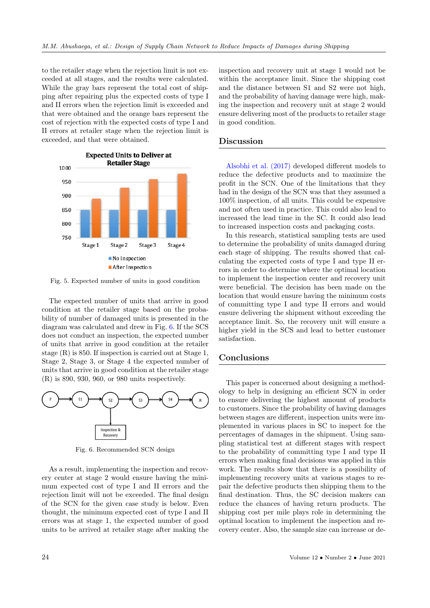to the retailer stage when the rejection limit is not exceeded at all stages, and the results were calculated. While the gray bars represent the total cost of shipping after repairing plus the expected costs of type I and II errors when the rejection limit is exceeded and that were obtained and the orange bars represent the cost of rejection with the expected costs of type I and II errors at retailer stage when the rejection limit is exceeded, and that were obtained.

<span id="page-7-0"></span>

Fig. 5. Expected number of units in good condition

The expected number of units that arrive in good condition at the retailer stage based on the probability of number of damaged units is presented in the diagram was calculated and drew in Fig. [6.](#page-7-1) If the SCS does not conduct an inspection, the expected number of units that arrive in good condition at the retailer stage (R) is 850. If inspection is carried out at Stage 1, Stage 2, Stage 3, or Stage 4 the expected number of units that arrive in good condition at the retailer stage (R) is 890, 930, 960, or 980 units respectively.

<span id="page-7-1"></span>

Fig. 6. Recommended SCN design

As a result, implementing the inspection and recovery center at stage 2 would ensure having the minimum expected cost of type I and II errors and the rejection limit will not be exceeded. The final design of the SCN for the given case study is below. Even thought, the minimum expected cost of type I and II errors was at stage 1, the expected number of good units to be arrived at retailer stage after making the inspection and recovery unit at stage 1 would not be within the acceptance limit. Since the shipping cost and the distance between S1 and S2 were not high, and the probability of having damage were high, making the inspection and recovery unit at stage 2 would ensure delivering most of the products to retailer stage in good condition.

## Discussion

[Alsobhi et al. \(2017\)](#page-8-0) developed different models to reduce the defective products and to maximize the profit in the SCN. One of the limitations that they had in the design of the SCN was that they assumed a 100% inspection, of all units. This could be expensive and not often used in practice. This could also lead to increased the lead time in the SC. It could also lead to increased inspection costs and packaging costs.

In this research, statistical sampling tests are used to determine the probability of units damaged during each stage of shipping. The results showed that calculating the expected costs of type I and type II errors in order to determine where the optimal location to implement the inspection center and recovery unit were beneficial. The decision has been made on the location that would ensure having the minimum costs of committing type I and type II errors and would ensure delivering the shipment without exceeding the acceptance limit. So, the recovery unit will ensure a higher yield in the SCS and lead to better customer satisfaction.

# **Conclusions**

This paper is concerned about designing a methodology to help in designing an efficient SCN in order to ensure delivering the highest amount of products to customers. Since the probability of having damages between stages are different, inspection units were implemented in various places in SC to inspect for the percentages of damages in the shipment. Using sampling statistical test at different stages with respect to the probability of committing type I and type II errors when making final decisions was applied in this work. The results show that there is a possibility of implementing recovery units at various stages to repair the defective products then shipping them to the final destination. Thus, the SC decision makers can reduce the chances of having return products. The shipping cost per mile plays role in determining the optimal location to implement the inspection and recovery center. Also, the sample size can increase or de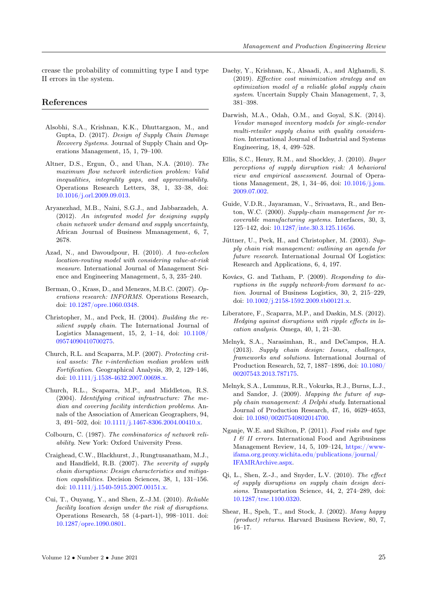crease the probability of committing type I and type II errors in the system.

# <span id="page-8-0"></span>References

- Alsobhi, S.A., Krishnan, K.K., Dhuttargaon, M., and Gupta, D. (2017). Design of Supply Chain Damage Recovery Systems. Journal of Supply Chain and Operations Management, 15, 1, 79–100.
- Altner, D.S., Ergun, Ö., and Uhan, N.A. (2010). The maximum flow network interdiction problem: Valid inequalities, integrality gaps, and approximability. Operations Research Letters, 38, 1, 33–38, doi: [10.1016/j.orl.2009.09.013.](https:doi.org/10.1016/j.orl.2009.09.013)
- Aryanezhad, M.B., Naini, S.G.J., and Jabbarzadeh, A. (2012). An integrated model for designing supply chain network under demand and supply uncertainty, African Journal of Business Mmanagement, 6, 7, 2678.
- Azad, N., and Davoudpour, H. (2010). A two-echelon location-routing model with considering value-at-risk measure. International Journal of Management Science and Engineering Management, 5, 3, 235–240.
- Berman, O., Krass, D., and Menezes, M.B.C. (2007). Operations research: INFORMS. Operations Research, doi: [10.1287/opre.1060.0348.](https:doi.org/10.1287/opre.1060.0348)
- Christopher, M., and Peck, H. (2004). Building the resilient supply chain. The International Journal of Logistics Management, 15, 2, 1–14, doi: [10.1108/](https:doi.org/10.1108/09574090410700275) [09574090410700275.](https:doi.org/10.1108/09574090410700275)
- Church, R.L. and Scaparra, M.P. (2007). Protecting critical assets: The r-interdiction median problem with Fortification. Geographical Analysis, 39, 2, 129–146, doi: [10.1111/j.1538-4632.2007.00698.x.](https:doi.org/10.1111/j.1538-4632.2007.00698.x)
- Church, R.L., Scaparra, M.P., and Middleton, R.S. (2004). Identifying critical infrastructure: The median and covering facility interdiction problems. Annals of the Association of American Geographers, 94, 3, 491–502, doi: [10.1111/j.1467-8306.2004.00410.x.](https:doi.org/10.1111/j.1467-8306.2004.00410.x)
- Colbourn, C. (1987). The combinatorics of network reliability. New York: Oxford University Press.
- Craighead, C.W., Blackhurst, J., Rungtusanatham, M.J., and Handfield, R.B. (2007). The severity of supply chain disruptions: Design characteristics and mitigation capabilities. Decision Sciences, 38, 1, 131–156. doi: [10.1111/j.1540-5915.2007.00151.x.](https:doi.org/10.1111/j.1540-5915.2007.00151.x)
- Cui, T., Ouyang, Y., and Shen, Z.-J.M. (2010). Reliable facility location design under the risk of disruptions. Operations Research, 58 (4-part-1), 998–1011. doi: [10.1287/opre.1090.0801.](https:doi.org/10.1287/opre.1090.0801)
- Daehy, Y., Krishnan, K., Alsaadi, A., and Alghamdi, S. (2019). Effective cost minimization strategy and an optimization model of a reliable global supply chain system. Uncertain Supply Chain Management, 7, 3, 381–398.
- Darwish, M.A., Odah, O.M., and Goyal, S.K. (2014). Vendor managed inventory models for single-vendor multi-retailer supply chains with quality consideration. International Journal of Industrial and Systems Engineering, 18, 4, 499–528.
- Ellis, S.C., Henry, R.M., and Shockley, J. (2010). Buyer perceptions of supply disruption risk: A behavioral view and empirical assessment. Journal of Operations Management, 28, 1, 34–46, doi: [10.1016/j.jom.](https:doi.org/10.1016/j.jom.2009.07.002) [2009.07.002.](https:doi.org/10.1016/j.jom.2009.07.002)
- Guide, V.D.R., Jayaraman, V., Srivastava, R., and Benton, W.C. (2000). Supply-chain management for recoverable manufacturing systems. Interfaces, 30, 3, 125–142, doi: [10.1287/inte.30.3.125.11656.](https:doi.org/10.1287/inte.30.3.125.11656)
- Jüttner, U., Peck, H., and Christopher, M. (2003). Supply chain risk management: outlining an agenda for future research. International Journal Of Logistics: Research and Applications, 6, 4, 197.
- Kovács, G. and Tatham, P. (2009). Responding to disruptions in the supply network-from dormant to action. Journal of Business Logistics, 30, 2, 215–229, doi: [10.1002/j.2158-1592.2009.tb00121.x.](https:doi.org/10.1002/j.2158-1592.2009.tb00121.x)
- Liberatore, F., Scaparra, M.P., and Daskin, M.S. (2012). Hedging against disruptions with ripple effects in location analysis. Omega, 40, 1, 21–30.
- Melnyk, S.A., Narasimhan, R., and DeCampos, H.A. (2013). Supply chain design: Issues, challenges, frameworks and solutions. International Journal of Production Research, 52, 7, 1887–1896, doi: [10.1080/](https:doi.org/10.1080/00207543.2013.787175) [00207543.2013.787175.](https:doi.org/10.1080/00207543.2013.787175)
- Melnyk, S.A., Lummus, R.R., Vokurka, R.J., Burns, L.J., and Sandor, J. (2009). Mapping the future of supply chain management: A Delphi study. International Journal of Production Research, 47, 16, 4629–4653, doi: [10.1080/00207540802014700.](https:doi.org/10.1080/00207540802014700)
- Nganje, W.E. and Skilton, P. (2011). Food risks and type  $I \mathcal{B}$  II errors. International Food and Agribusiness Management Review, 14, 5, 109–124, [https://www](https://www-ifama.org.proxy.wichita.edu/publications/journal/IFAMRArchive.aspx)[ifama.org.proxy.wichita.edu/publications/journal/](https://www-ifama.org.proxy.wichita.edu/publications/journal/IFAMRArchive.aspx) [IFAMRArchive.aspx.](https://www-ifama.org.proxy.wichita.edu/publications/journal/IFAMRArchive.aspx)
- Qi, L., Shen, Z.-J., and Snyder, L.V. (2010). The effect of supply disruptions on supply chain design decisions. Transportation Science, 44, 2, 274–289, doi: [10.1287/trsc.1100.0320.](https://doi.org/10.1287/trsc.1100.0320)
- Shear, H., Speh, T., and Stock, J. (2002). Many happy (product) returns. Harvard Business Review, 80, 7, 16–17.